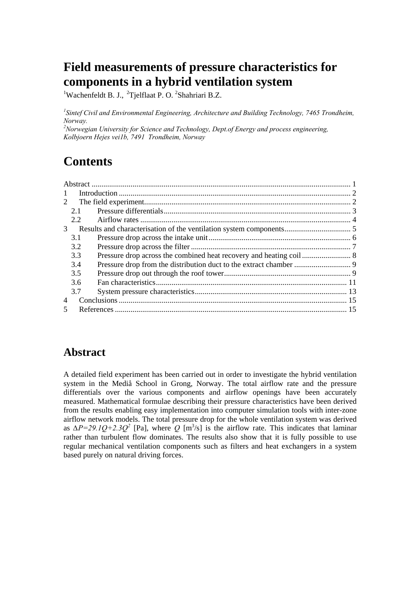# **Field measurements of pressure characteristics for components in a hybrid ventilation system**

<sup>1</sup>Wachenfeldt B. J., <sup>2</sup>Tjelflaat P. O. <sup>2</sup>Shahriari B.Z.

*1 Sintef Civil and Environmental Engineering, Architecture and Building Technology, 7465 Trondheim, Norway.* 

*2 Norwegian University for Science and Technology, Dept.of Energy and process engineering, Kolbjoern Hejes vei1b, 7491 Trondheim, Norway* 

# **Contents**

| $\mathbf{1}$   |     |  |  |
|----------------|-----|--|--|
| 2              |     |  |  |
|                | 2.1 |  |  |
|                | 2.2 |  |  |
| 3 <sup>7</sup> |     |  |  |
|                | 3.1 |  |  |
|                | 3.2 |  |  |
|                | 3.3 |  |  |
|                | 3.4 |  |  |
|                | 3.5 |  |  |
|                | 3.6 |  |  |
|                | 3.7 |  |  |
| 4              |     |  |  |
| 5              |     |  |  |
|                |     |  |  |

### **Abstract**

A detailed field experiment has been carried out in order to investigate the hybrid ventilation system in the Mediå School in Grong, Norway. The total airflow rate and the pressure differentials over the various components and airflow openings have been accurately measured. Mathematical formulae describing their pressure characteristics have been derived from the results enabling easy implementation into computer simulation tools with inter-zone airflow network models. The total pressure drop for the whole ventilation system was derived as  $\Delta P = 29.1Q + 2.3Q^2$  [Pa], where *Q* [m<sup>3</sup>/s] is the airflow rate. This indicates that laminar rather than turbulent flow dominates. The results also show that it is fully possible to use regular mechanical ventilation components such as filters and heat exchangers in a system based purely on natural driving forces.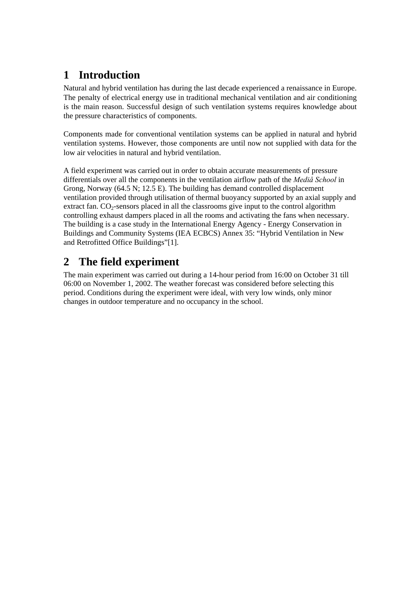## **1 Introduction**

Natural and hybrid ventilation has during the last decade experienced a renaissance in Europe. The penalty of electrical energy use in traditional mechanical ventilation and air conditioning is the main reason. Successful design of such ventilation systems requires knowledge about the pressure characteristics of components.

Components made for conventional ventilation systems can be applied in natural and hybrid ventilation systems. However, those components are until now not supplied with data for the low air velocities in natural and hybrid ventilation.

A field experiment was carried out in order to obtain accurate measurements of pressure differentials over all the components in the ventilation airflow path of the *Mediå School* in Grong, Norway (64.5 N; 12.5 E). The building has demand controlled displacement ventilation provided through utilisation of thermal buoyancy supported by an axial supply and extract fan.  $CO<sub>2</sub>$ -sensors placed in all the classrooms give input to the control algorithm controlling exhaust dampers placed in all the rooms and activating the fans when necessary. The building is a case study in the International Energy Agency - Energy Conservation in Buildings and Community Systems (IEA ECBCS) Annex 35: "Hybrid Ventilation in New and Retrofitted Office Buildings"[1].

## **2 The field experiment**

The main experiment was carried out during a 14-hour period from 16:00 on October 31 till 06:00 on November 1, 2002. The weather forecast was considered before selecting this period. Conditions during the experiment were ideal, with very low winds, only minor changes in outdoor temperature and no occupancy in the school.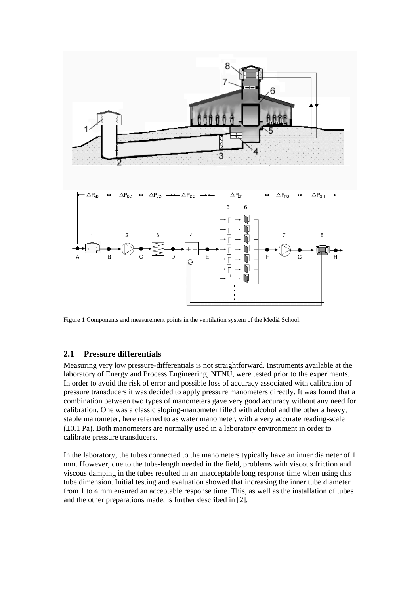

Figure 1 Components and measurement points in the ventilation system of the Mediå School.

#### **2.1 Pressure differentials**

Measuring very low pressure-differentials is not straightforward. Instruments available at the laboratory of Energy and Process Engineering, NTNU, were tested prior to the experiments. In order to avoid the risk of error and possible loss of accuracy associated with calibration of pressure transducers it was decided to apply pressure manometers directly. It was found that a combination between two types of manometers gave very good accuracy without any need for calibration. One was a classic sloping-manometer filled with alcohol and the other a heavy, stable manometer, here referred to as water manometer, with a very accurate reading-scale (±0.1 Pa). Both manometers are normally used in a laboratory environment in order to calibrate pressure transducers.

In the laboratory, the tubes connected to the manometers typically have an inner diameter of 1 mm. However, due to the tube-length needed in the field, problems with viscous friction and viscous damping in the tubes resulted in an unacceptable long response time when using this tube dimension. Initial testing and evaluation showed that increasing the inner tube diameter from 1 to 4 mm ensured an acceptable response time. This, as well as the installation of tubes and the other preparations made, is further described in [2].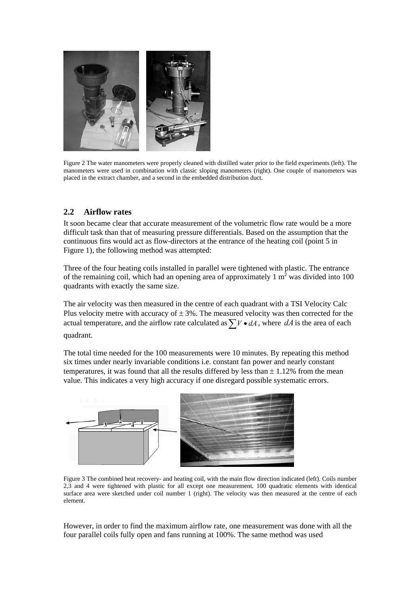

Figure 2 The water manometers were properly cleaned with distilled water prior to the field experiments (left). The manometers were used in combination with classic sloping manometers (right). One couple of manometers was placed in the extract chamber, and a second in the embedded distribution duct.

### **2.2 Airflow rates**

It soon became clear that accurate measurement of the volumetric flow rate would be a more difficult task than that of measuring pressure differentials. Based on the assumption that the continuous fins would act as flow-directors at the entrance of the heating coil (point 5 in Figure 1), the following method was attempted:

Three of the four heating coils installed in parallel were tightened with plastic. The entrance of the remaining coil, which had an opening area of approximately 1  $m<sup>2</sup>$  was divided into 100 quadrants with exactly the same size.

The air velocity was then measured in the centre of each quadrant with a TSI Velocity Calc Plus velocity metre with accuracy of  $\pm 3\%$ . The measured velocity was then corrected for the actual temperature, and the airflow rate calculated as  $\sum V \cdot dA$ , where  $dA$  is the area of each quadrant.

The total time needed for the 100 measurements were 10 minutes. By repeating this method six times under nearly invariable conditions i.e. constant fan power and nearly constant temperatures, it was found that all the results differed by less than  $\pm$  1.12% from the mean value. This indicates a very high accuracy if one disregard possible systematic errors.



Figure 3 The combined heat recovery- and heating coil, with the main flow direction indicated (left). Coils number 2,3 and 4 were tightened with plastic for all except one measurement. 100 quadratic elements with identical surface area were sketched under coil number 1 (right). The velocity was then measured at the centre of each element.

However, in order to find the maximum airflow rate, one measurement was done with all the four parallel coils fully open and fans running at 100%. The same method was used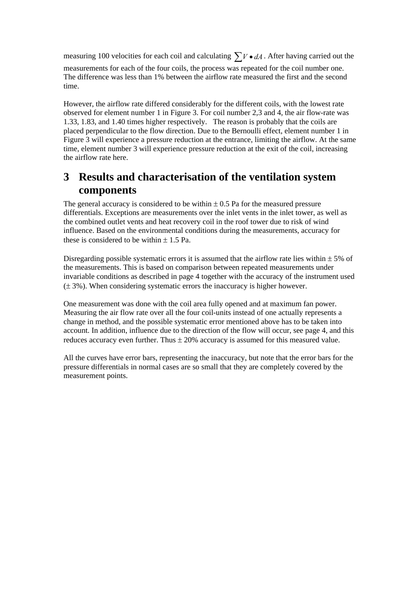measuring 100 velocities for each coil and calculating  $\sum V \cdot dA$ . After having carried out the measurements for each of the four coils, the process was repeated for the coil number one. The difference was less than 1% between the airflow rate measured the first and the second time.

However, the airflow rate differed considerably for the different coils, with the lowest rate observed for element number 1 in Figure 3. For coil number 2,3 and 4, the air flow-rate was 1.33, 1.83, and 1.40 times higher respectively. The reason is probably that the coils are placed perpendicular to the flow direction. Due to the Bernoulli effect, element number 1 in Figure 3 will experience a pressure reduction at the entrance, limiting the airflow. At the same time, element number 3 will experience pressure reduction at the exit of the coil, increasing the airflow rate here.

### **3 Results and characterisation of the ventilation system components**

The general accuracy is considered to be within  $\pm$  0.5 Pa for the measured pressure differentials. Exceptions are measurements over the inlet vents in the inlet tower, as well as the combined outlet vents and heat recovery coil in the roof tower due to risk of wind influence. Based on the environmental conditions during the measurements, accuracy for these is considered to be within  $\pm$  1.5 Pa.

Disregarding possible systematic errors it is assumed that the airflow rate lies within  $\pm$  5% of the measurements. This is based on comparison between repeated measurements under invariable conditions as described in page 4 together with the accuracy of the instrument used  $(\pm 3\%)$ . When considering systematic errors the inaccuracy is higher however.

One measurement was done with the coil area fully opened and at maximum fan power. Measuring the air flow rate over all the four coil-units instead of one actually represents a change in method, and the possible systematic error mentioned above has to be taken into account. In addition, influence due to the direction of the flow will occur, see page 4, and this reduces accuracy even further. Thus  $\pm 20\%$  accuracy is assumed for this measured value.

All the curves have error bars, representing the inaccuracy, but note that the error bars for the pressure differentials in normal cases are so small that they are completely covered by the measurement points.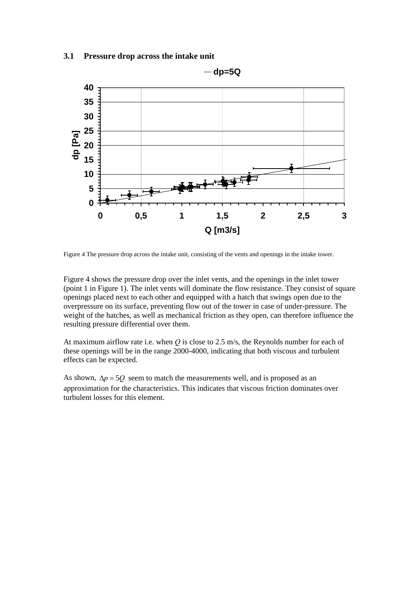#### **3.1 Pressure drop across the intake unit**



Figure 4 The pressure drop across the intake unit, consisting of the vents and openings in the intake tower.

Figure 4 shows the pressure drop over the inlet vents, and the openings in the inlet tower (point 1 in Figure 1). The inlet vents will dominate the flow resistance. They consist of square openings placed next to each other and equipped with a hatch that swings open due to the overpressure on its surface, preventing flow out of the tower in case of under-pressure. The weight of the hatches, as well as mechanical friction as they open, can therefore influence the resulting pressure differential over them.

At maximum airflow rate i.e. when *Q* is close to 2.5 m/s, the Reynolds number for each of these openings will be in the range 2000-4000, indicating that both viscous and turbulent effects can be expected.

As shown,  $\Delta p = 5Q$  seem to match the measurements well, and is proposed as an approximation for the characteristics. This indicates that viscous friction dominates over turbulent losses for this element.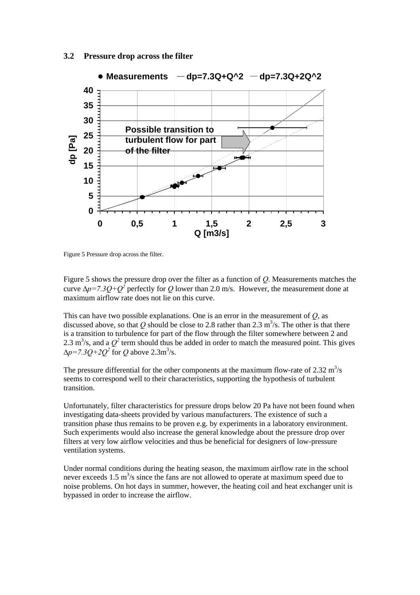#### **3.2 Pressure drop across the filter**



Figure 5 Pressure drop across the filter.

Figure 5 shows the pressure drop over the filter as a function of *Q*. Measurements matches the curve  $\Delta p = 7.3Q + Q^2$  perfectly for *Q* lower than 2.0 m/s. However, the measurement done at maximum airflow rate does not lie on this curve.

This can have two possible explanations. One is an error in the measurement of *Q*, as discussed above, so that Q should be close to 2.8 rather than 2.3 m<sup>3</sup>/s. The other is that there is a transition to turbulence for part of the flow through the filter somewhere between 2 and 2.3 m<sup>3</sup>/s, and a  $Q^2$  term should thus be added in order to match the measured point. This gives  $\Delta p = 7.3Q + 2Q^2$  for *Q* above 2.3m<sup>3</sup>/s.

The pressure differential for the other components at the maximum flow-rate of  $2.32 \text{ m}^3/\text{s}$ seems to correspond well to their characteristics, supporting the hypothesis of turbulent transition.

Unfortunately, filter characteristics for pressure drops below 20 Pa have not been found when investigating data-sheets provided by various manufacturers. The existence of such a transition phase thus remains to be proven e.g. by experiments in a laboratory environment. Such experiments would also increase the general knowledge about the pressure drop over filters at very low airflow velocities and thus be beneficial for designers of low-pressure ventilation systems.

Under normal conditions during the heating season, the maximum airflow rate in the school never exceeds  $1.5 \text{ m}^3$ /s since the fans are not allowed to operate at maximum speed due to noise problems. On hot days in summer, however, the heating coil and heat exchanger unit is bypassed in order to increase the airflow.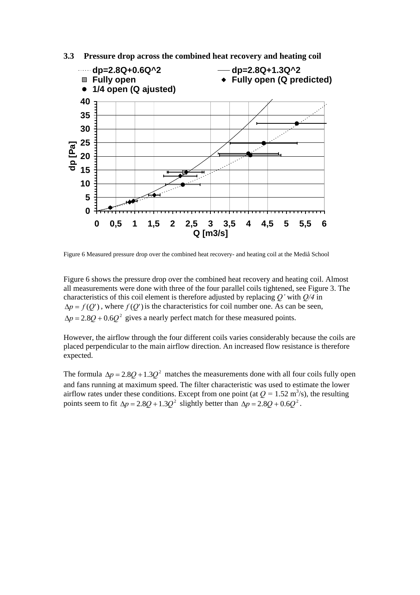

**3.3 Pressure drop across the combined heat recovery and heating coil** 

Figure 6 Measured pressure drop over the combined heat recovery- and heating coil at the Mediå School

Figure 6 shows the pressure drop over the combined heat recovery and heating coil. Almost all measurements were done with three of the four parallel coils tightened, see Figure 3. The characteristics of this coil element is therefore adjusted by replacing *Q'* with *Q/4* in  $\Delta p = f(Q')$ , where  $f(Q')$  is the characteristics for coil number one. As can be seen,  $\Delta p = 2.8Q + 0.6Q^2$  gives a nearly perfect match for these measured points.

However, the airflow through the four different coils varies considerably because the coils are placed perpendicular to the main airflow direction. An increased flow resistance is therefore expected.

The formula  $\Delta p = 2.8Q + 1.3Q^2$  matches the measurements done with all four coils fully open and fans running at maximum speed. The filter characteristic was used to estimate the lower airflow rates under these conditions. Except from one point (at  $Q = 1.52 \text{ m}^3/\text{s}$ ), the resulting points seem to fit  $\Delta p = 2.8Q + 1.3Q^2$  slightly better than  $\Delta p = 2.8Q + 0.6Q^2$ .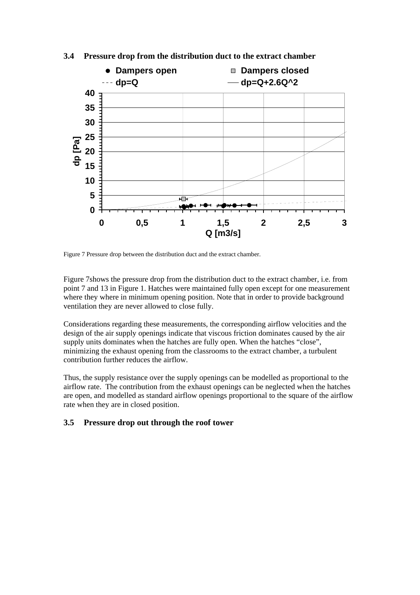

#### **3.4 Pressure drop from the distribution duct to the extract chamber**

Figure 7 Pressure drop between the distribution duct and the extract chamber.

Figure 7shows the pressure drop from the distribution duct to the extract chamber, i.e. from point 7 and 13 in Figure 1. Hatches were maintained fully open except for one measurement where they where in minimum opening position. Note that in order to provide background ventilation they are never allowed to close fully.

Considerations regarding these measurements, the corresponding airflow velocities and the design of the air supply openings indicate that viscous friction dominates caused by the air supply units dominates when the hatches are fully open. When the hatches "close", minimizing the exhaust opening from the classrooms to the extract chamber, a turbulent contribution further reduces the airflow.

Thus, the supply resistance over the supply openings can be modelled as proportional to the airflow rate. The contribution from the exhaust openings can be neglected when the hatches are open, and modelled as standard airflow openings proportional to the square of the airflow rate when they are in closed position.

#### **3.5 Pressure drop out through the roof tower**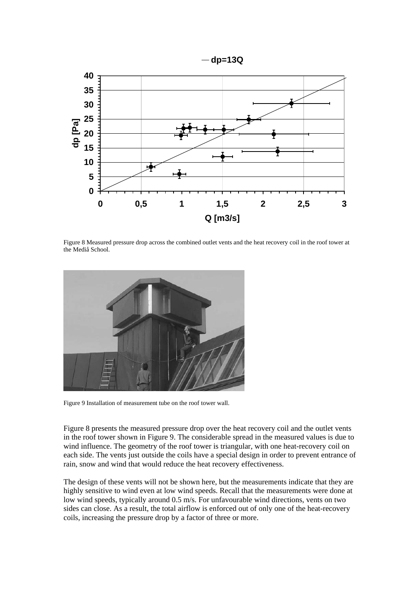

Figure 8 Measured pressure drop across the combined outlet vents and the heat recovery coil in the roof tower at the Mediå School.



Figure 9 Installation of measurement tube on the roof tower wall.

Figure 8 presents the measured pressure drop over the heat recovery coil and the outlet vents in the roof tower shown in Figure 9. The considerable spread in the measured values is due to wind influence. The geometry of the roof tower is triangular, with one heat-recovery coil on each side. The vents just outside the coils have a special design in order to prevent entrance of rain, snow and wind that would reduce the heat recovery effectiveness.

The design of these vents will not be shown here, but the measurements indicate that they are highly sensitive to wind even at low wind speeds. Recall that the measurements were done at low wind speeds, typically around 0.5 m/s. For unfavourable wind directions, vents on two sides can close. As a result, the total airflow is enforced out of only one of the heat-recovery coils, increasing the pressure drop by a factor of three or more.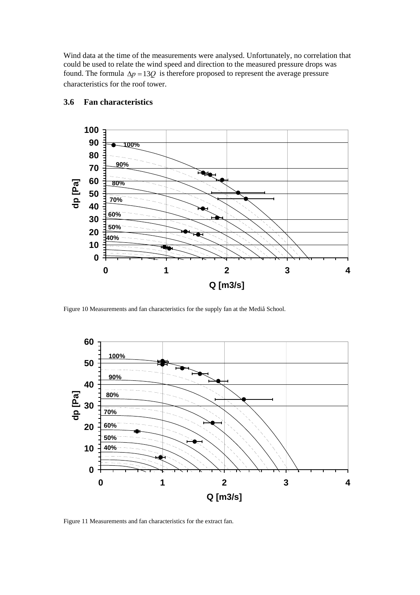Wind data at the time of the measurements were analysed. Unfortunately, no correlation that could be used to relate the wind speed and direction to the measured pressure drops was found. The formula  $\Delta p = 13Q$  is therefore proposed to represent the average pressure characteristics for the roof tower.



#### **3.6 Fan characteristics**

Figure 10 Measurements and fan characteristics for the supply fan at the Mediå School.



Figure 11 Measurements and fan characteristics for the extract fan.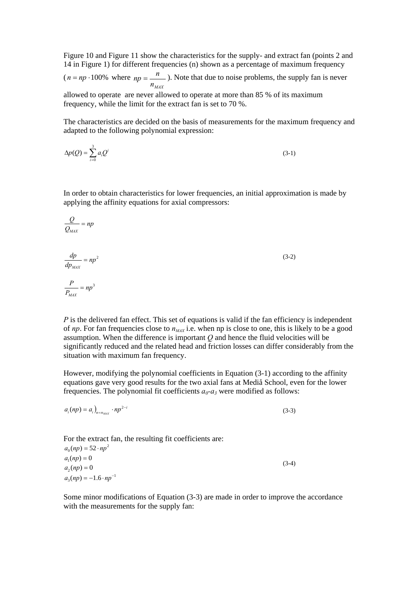Figure 10 and Figure 11 show the characteristics for the supply- and extract fan (points 2 and 14 in Figure 1) for different frequencies (n) shown as a percentage of maximum frequency

 $(n = np \cdot 100\%$  where  $n_{MAX}$  $np = \frac{n}{n}$ . Note that due to noise problems, the supply fan is never

allowed to operate are never allowed to operate at more than 85 % of its maximum frequency, while the limit for the extract fan is set to 70 %.

The characteristics are decided on the basis of measurements for the maximum frequency and adapted to the following polynomial expression:

$$
\Delta p(Q) = \sum_{i=0}^{3} a_i Q^i \tag{3-1}
$$

In order to obtain characteristics for lower frequencies, an initial approximation is made by applying the affinity equations for axial compressors:

(3-2)

$$
\frac{Q}{Q_{MAX}} = np
$$
  

$$
\frac{dp}{dp_{MAX}} = np^2
$$
  

$$
\frac{P}{P_{MAX}} = np^3
$$

*P* is the delivered fan effect. This set of equations is valid if the fan efficiency is independent of *np*. For fan frequencies close to  $n_{MAX}$  i.e. when np is close to one, this is likely to be a good assumption. When the difference is important *Q* and hence the fluid velocities will be significantly reduced and the related head and friction losses can differ considerably from the situation with maximum fan frequency.

However, modifying the polynomial coefficients in Equation (3-1) according to the affinity equations gave very good results for the two axial fans at Mediå School, even for the lower frequencies. The polynomial fit coefficients  $a_0$ - $a_3$  were modified as follows:

$$
a_i(np) = a_i_{n = n_{MAX}} \cdot np^{2-i}
$$
 (3-3)

For the extract fan, the resulting fit coefficients are:  $a_0(np) = 52 \cdot np^2$ 

 $a_1(np) = 0$  $a_2(np) = 0$  $a_3(np) = -1.6 \cdot np^{-1}$ (3-4)

Some minor modifications of Equation (3-3) are made in order to improve the accordance with the measurements for the supply fan: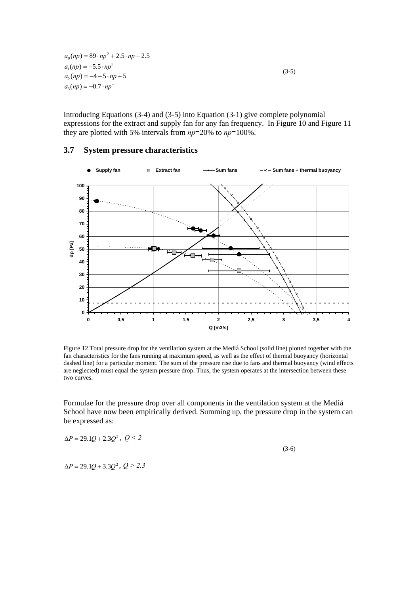$a_0(np) = 89 \cdot np^2 + 2.5 \cdot np - 2.5$  $a_1(np) = -5.5 \cdot np^1$  $a_2(np) = -4 - 5 \cdot np + 5$  $a_3(np) = -0.7 \cdot np^{-1}$  $(3-5)$ 

Introducing Equations (3-4) and (3-5) into Equation (3-1) give complete polynomial expressions for the extract and supply fan for any fan frequency. In Figure 10 and Figure 11 they are plotted with 5% intervals from *np*=20% to *np*=100%.



### **3.7 System pressure characteristics**

Figure 12 Total pressure drop for the ventilation system at the Mediå School (solid line) plotted together with the fan characteristics for the fans running at maximum speed, as well as the effect of thermal buoyancy (horizontal dashed line) for a particular moment. The sum of the pressure rise due to fans and thermal buoyancy (wind effects are neglected) must equal the system pressure drop. Thus, the system operates at the intersection between these two curves.

Formulae for the pressure drop over all components in the ventilation system at the Mediå School have now been empirically derived. Summing up, the pressure drop in the system can be expressed as:

$$
\Delta P = 29.1Q + 2.3Q^2, \ Q < 2
$$

(3-6)

 $\Delta P = 29.1Q + 3.3Q^2$ ,  $Q > 2.3$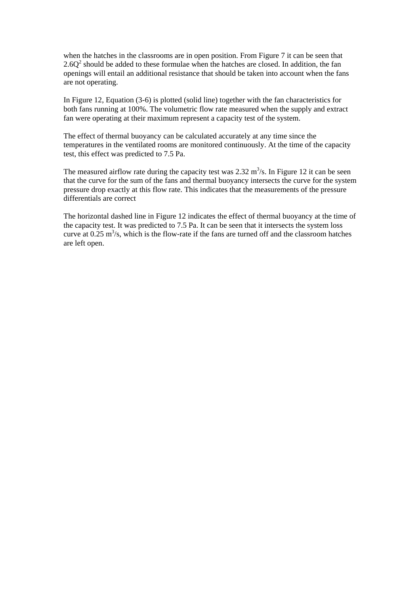when the hatches in the classrooms are in open position. From Figure 7 it can be seen that  $2.6Q<sup>2</sup>$  should be added to these formulae when the hatches are closed. In addition, the fan openings will entail an additional resistance that should be taken into account when the fans are not operating.

In Figure 12, Equation (3-6) is plotted (solid line) together with the fan characteristics for both fans running at 100%. The volumetric flow rate measured when the supply and extract fan were operating at their maximum represent a capacity test of the system.

The effect of thermal buoyancy can be calculated accurately at any time since the temperatures in the ventilated rooms are monitored continuously. At the time of the capacity test, this effect was predicted to 7.5 Pa.

The measured airflow rate during the capacity test was  $2.32 \text{ m}^3/\text{s}$ . In Figure 12 it can be seen that the curve for the sum of the fans and thermal buoyancy intersects the curve for the system pressure drop exactly at this flow rate. This indicates that the measurements of the pressure differentials are correct

The horizontal dashed line in Figure 12 indicates the effect of thermal buoyancy at the time of the capacity test. It was predicted to 7.5 Pa. It can be seen that it intersects the system loss curve at  $0.25 \text{ m}^3/\text{s}$ , which is the flow-rate if the fans are turned off and the classroom hatches are left open.